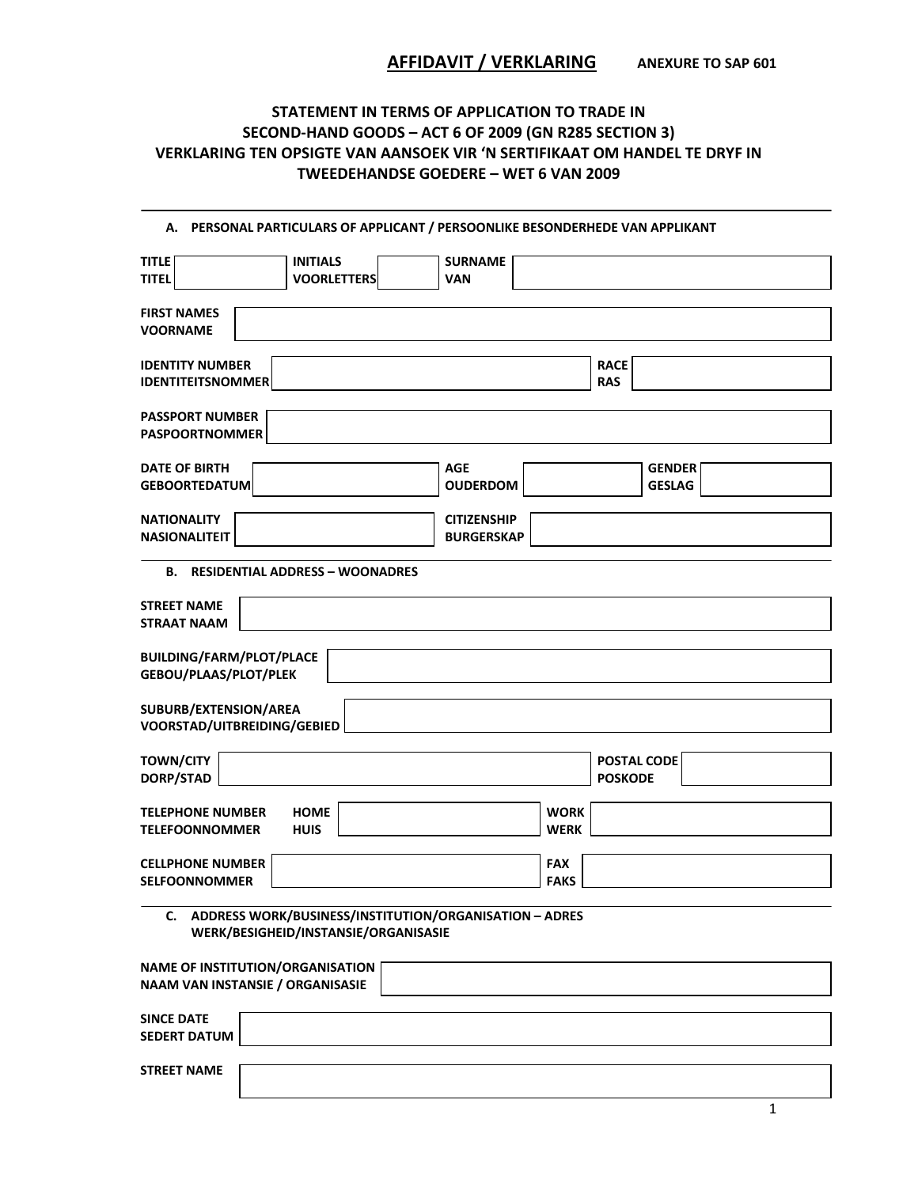## **STATEMENT IN TERMS OF APPLICATION TO TRADE IN SECOND‐HAND GOODS – ACT 6 OF 2009 (GN R285 SECTION 3) VERKLARING TEN OPSIGTE VAN AANSOEK VIR 'N SERTIFIKAAT OM HANDEL TE DRYF IN TWEEDEHANDSE GOEDERE – WET 6 VAN 2009**

| А.                                                                                                | PERSONAL PARTICULARS OF APPLICANT / PERSOONLIKE BESONDERHEDE VAN APPLIKANT |
|---------------------------------------------------------------------------------------------------|----------------------------------------------------------------------------|
| <b>INITIALS</b><br><b>TITLE</b><br><b>TITEL</b><br><b>VOORLETTERS</b>                             | <b>SURNAME</b><br>VAN                                                      |
| <b>FIRST NAMES</b><br><b>VOORNAME</b>                                                             |                                                                            |
| <b>IDENTITY NUMBER</b><br><b>IDENTITEITSNOMMER</b>                                                | <b>RACE</b><br><b>RAS</b>                                                  |
| <b>PASSPORT NUMBER</b><br><b>PASPOORTNOMMER</b>                                                   |                                                                            |
| <b>DATE OF BIRTH</b><br><b>GEBOORTEDATUM</b>                                                      | <b>AGE</b><br><b>GENDER</b><br><b>OUDERDOM</b><br><b>GESLAG</b>            |
| <b>NATIONALITY</b><br><b>NASIONALITEIT</b>                                                        | <b>CITIZENSHIP</b><br><b>BURGERSKAP</b>                                    |
| <b>B. RESIDENTIAL ADDRESS - WOONADRES</b>                                                         |                                                                            |
| <b>STREET NAME</b><br><b>STRAAT NAAM</b>                                                          |                                                                            |
| <b>BUILDING/FARM/PLOT/PLACE</b><br>GEBOU/PLAAS/PLOT/PLEK                                          |                                                                            |
| SUBURB/EXTENSION/AREA<br>VOORSTAD/UITBREIDING/GEBIED                                              |                                                                            |
| <b>TOWN/CITY</b><br>DORP/STAD                                                                     | POSTAL CODE<br><b>POSKODE</b>                                              |
| <b>HOME</b><br><b>TELEPHONE NUMBER</b><br><b>TELEFOONNOMMER</b><br><b>HUIS</b>                    | <b>WORK</b><br><b>WERK</b>                                                 |
| <b>CELLPHONE NUMBER</b><br><b>SELFOONNOMMER</b>                                                   | <b>FAX</b><br><b>FAKS</b>                                                  |
| C. ADDRESS WORK/BUSINESS/INSTITUTION/ORGANISATION - ADRES<br>WERK/BESIGHEID/INSTANSIE/ORGANISASIE |                                                                            |
| <b>NAME OF INSTITUTION/ORGANISATION</b><br><b>NAAM VAN INSTANSIE / ORGANISASIE</b>                |                                                                            |
| <b>SINCE DATE</b><br><b>SEDERT DATUM</b>                                                          |                                                                            |
| <b>STREET NAME</b>                                                                                |                                                                            |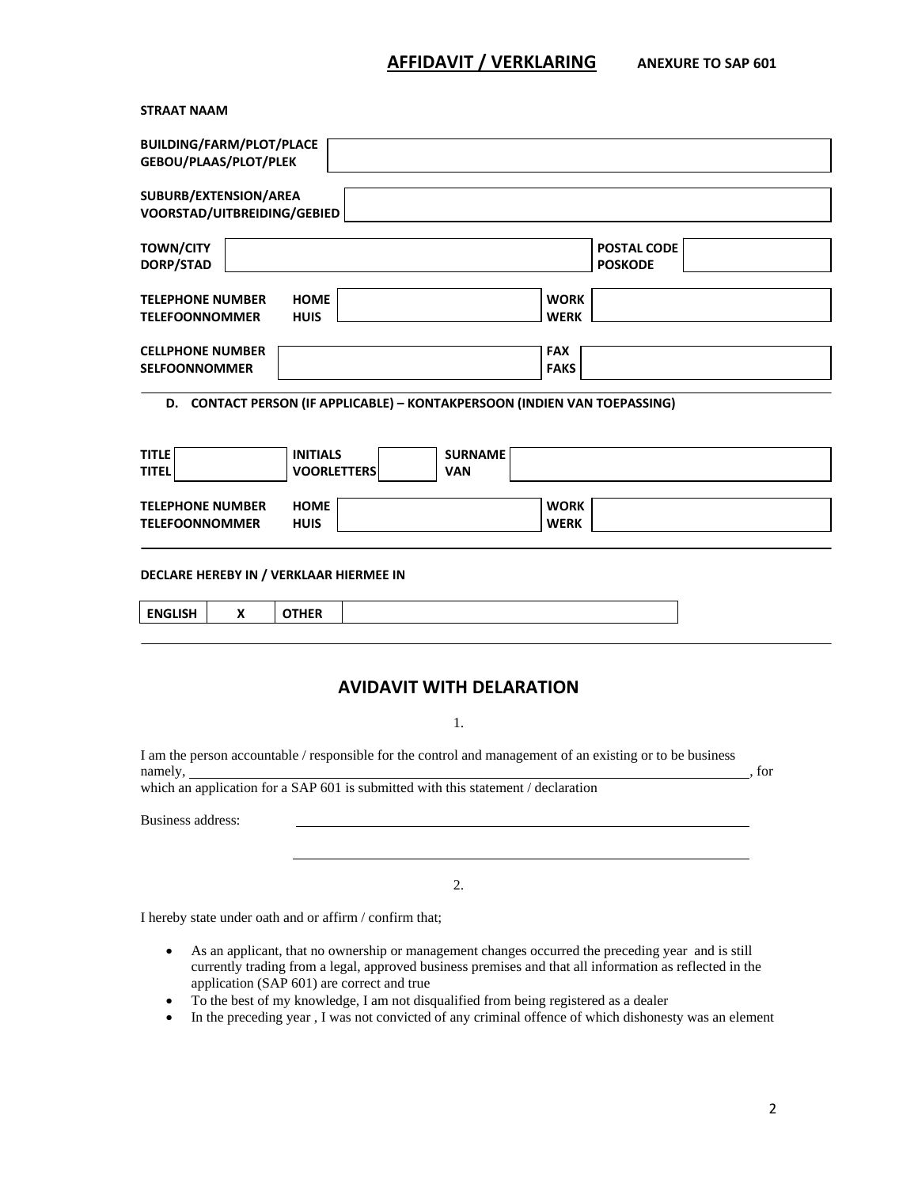## **AFFIDAVIT / VERKLARING ANEXURE TO SAP 601**

**STRAAT NAAM**

| <b>BUILDING/FARM/PLOT/PLACE</b><br>GEBOU/PLAAS/PLOT/PLEK                                                                          |   |                                       |                                                                                   |                              |                            |                               |  |
|-----------------------------------------------------------------------------------------------------------------------------------|---|---------------------------------------|-----------------------------------------------------------------------------------|------------------------------|----------------------------|-------------------------------|--|
| SUBURB/EXTENSION/AREA<br>VOORSTAD/UITBREIDING/GEBIED                                                                              |   |                                       |                                                                                   |                              |                            |                               |  |
| <b>TOWN/CITY</b><br>DORP/STAD                                                                                                     |   |                                       |                                                                                   |                              |                            | POSTAL CODE<br><b>POSKODE</b> |  |
| <b>TELEPHONE NUMBER</b><br><b>TELEFOONNOMMER</b>                                                                                  |   | <b>HOME</b><br><b>HUIS</b>            |                                                                                   |                              | <b>WORK</b><br><b>WERK</b> |                               |  |
| <b>CELLPHONE NUMBER</b><br><b>SELFOONNOMMER</b>                                                                                   |   |                                       |                                                                                   |                              | <b>FAX</b><br><b>FAKS</b>  |                               |  |
|                                                                                                                                   |   |                                       | D. CONTACT PERSON (IF APPLICABLE) - KONTAKPERSOON (INDIEN VAN TOEPASSING)         |                              |                            |                               |  |
| <b>TITLE</b><br><b>TITEL</b>                                                                                                      |   | <b>INITIALS</b><br><b>VOORLETTERS</b> |                                                                                   | <b>SURNAME</b><br><b>VAN</b> |                            |                               |  |
| <b>TELEPHONE NUMBER</b><br><b>TELEFOONNOMMER</b>                                                                                  |   | <b>HOME</b><br><b>HUIS</b>            |                                                                                   |                              | <b>WORK</b><br><b>WERK</b> |                               |  |
|                                                                                                                                   |   |                                       | DECLARE HEREBY IN / VERKLAAR HIERMEE IN                                           |                              |                            |                               |  |
| <b>ENGLISH</b>                                                                                                                    | X | <b>OTHER</b>                          |                                                                                   |                              |                            |                               |  |
| <b>AVIDAVIT WITH DELARATION</b>                                                                                                   |   |                                       |                                                                                   |                              |                            |                               |  |
| 1.<br>I am the person accountable / responsible for the control and management of an existing or to be business<br>namely,<br>for |   |                                       |                                                                                   |                              |                            |                               |  |
|                                                                                                                                   |   |                                       | which an application for a SAP 601 is submitted with this statement / declaration |                              |                            |                               |  |
| Business address:                                                                                                                 |   |                                       |                                                                                   |                              |                            |                               |  |

2.

I hereby state under oath and or affirm / confirm that;

- As an applicant, that no ownership or management changes occurred the preceding year and is still currently trading from a legal, approved business premises and that all information as reflected in the application (SAP 601) are correct and true
- To the best of my knowledge, I am not disqualified from being registered as a dealer
- In the preceding year , I was not convicted of any criminal offence of which dishonesty was an element